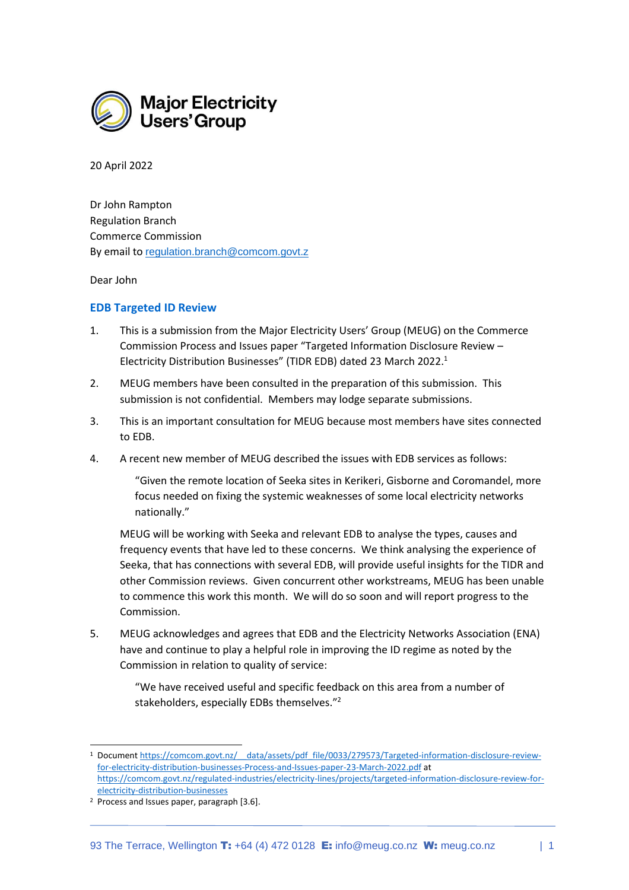

20 April 2022

Dr John Rampton Regulation Branch Commerce Commission By email to [regulation.branch@comcom.govt.z](mailto:regulation.branch@comcom.govt.z)

Dear John

## **EDB Targeted ID Review**

- 1. This is a submission from the Major Electricity Users' Group (MEUG) on the Commerce Commission Process and Issues paper "Targeted Information Disclosure Review – Electricity Distribution Businesses" (TIDR EDB) dated 23 March 2022. 1
- 2. MEUG members have been consulted in the preparation of this submission. This submission is not confidential. Members may lodge separate submissions.
- 3. This is an important consultation for MEUG because most members have sites connected to EDB.
- 4. A recent new member of MEUG described the issues with EDB services as follows:

"Given the remote location of Seeka sites in Kerikeri, Gisborne and Coromandel, more focus needed on fixing the systemic weaknesses of some local electricity networks nationally."

MEUG will be working with Seeka and relevant EDB to analyse the types, causes and frequency events that have led to these concerns. We think analysing the experience of Seeka, that has connections with several EDB, will provide useful insights for the TIDR and other Commission reviews. Given concurrent other workstreams, MEUG has been unable to commence this work this month. We will do so soon and will report progress to the Commission.

5. MEUG acknowledges and agrees that EDB and the Electricity Networks Association (ENA) have and continue to play a helpful role in improving the ID regime as noted by the Commission in relation to quality of service:

"We have received useful and specific feedback on this area from a number of stakeholders, especially EDBs themselves."<sup>2</sup>

<sup>1</sup> Documen[t https://comcom.govt.nz/\\_\\_data/assets/pdf\\_file/0033/279573/Targeted-information-disclosure-review](https://comcom.govt.nz/__data/assets/pdf_file/0033/279573/Targeted-information-disclosure-review-for-electricity-distribution-businesses-Process-and-Issues-paper-23-March-2022.pdf)[for-electricity-distribution-businesses-Process-and-Issues-paper-23-March-2022.pdf](https://comcom.govt.nz/__data/assets/pdf_file/0033/279573/Targeted-information-disclosure-review-for-electricity-distribution-businesses-Process-and-Issues-paper-23-March-2022.pdf) at [https://comcom.govt.nz/regulated-industries/electricity-lines/projects/targeted-information-disclosure-review-for](https://comcom.govt.nz/regulated-industries/electricity-lines/projects/targeted-information-disclosure-review-for-electricity-distribution-businesses)[electricity-distribution-businesses](https://comcom.govt.nz/regulated-industries/electricity-lines/projects/targeted-information-disclosure-review-for-electricity-distribution-businesses)

<sup>2</sup> Process and Issues paper, paragraph [3.6].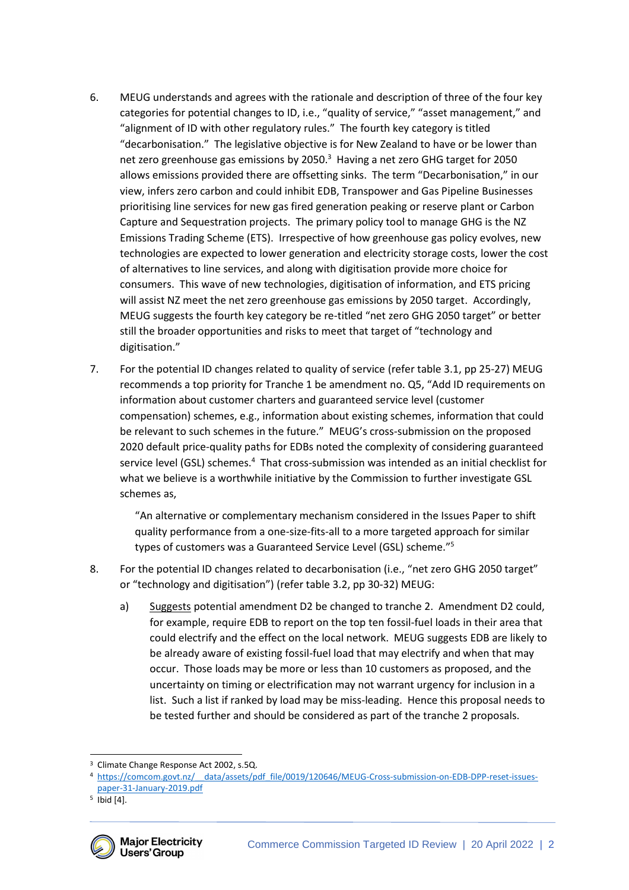- 6. MEUG understands and agrees with the rationale and description of three of the four key categories for potential changes to ID, i.e., "quality of service," "asset management," and "alignment of ID with other regulatory rules." The fourth key category is titled "decarbonisation." The legislative objective is for New Zealand to have or be lower than net zero greenhouse gas emissions by 2050.<sup>3</sup> Having a net zero GHG target for 2050 allows emissions provided there are offsetting sinks. The term "Decarbonisation," in our view, infers zero carbon and could inhibit EDB, Transpower and Gas Pipeline Businesses prioritising line services for new gas fired generation peaking or reserve plant or Carbon Capture and Sequestration projects. The primary policy tool to manage GHG is the NZ Emissions Trading Scheme (ETS). Irrespective of how greenhouse gas policy evolves, new technologies are expected to lower generation and electricity storage costs, lower the cost of alternatives to line services, and along with digitisation provide more choice for consumers. This wave of new technologies, digitisation of information, and ETS pricing will assist NZ meet the net zero greenhouse gas emissions by 2050 target. Accordingly, MEUG suggests the fourth key category be re-titled "net zero GHG 2050 target" or better still the broader opportunities and risks to meet that target of "technology and digitisation."
- 7. For the potential ID changes related to quality of service (refer table 3.1, pp 25-27) MEUG recommends a top priority for Tranche 1 be amendment no. Q5, "Add ID requirements on information about customer charters and guaranteed service level (customer compensation) schemes, e.g., information about existing schemes, information that could be relevant to such schemes in the future." MEUG's cross-submission on the proposed 2020 default price-quality paths for EDBs noted the complexity of considering guaranteed service level (GSL) schemes.<sup>4</sup> That cross-submission was intended as an initial checklist for what we believe is a worthwhile initiative by the Commission to further investigate GSL schemes as,

"An alternative or complementary mechanism considered in the Issues Paper to shift quality performance from a one-size-fits-all to a more targeted approach for similar types of customers was a Guaranteed Service Level (GSL) scheme."<sup>5</sup>

- 8. For the potential ID changes related to decarbonisation (i.e., "net zero GHG 2050 target" or "technology and digitisation") (refer table 3.2, pp 30-32) MEUG:
	- a) Suggests potential amendment D2 be changed to tranche 2. Amendment D2 could, for example, require EDB to report on the top ten fossil-fuel loads in their area that could electrify and the effect on the local network. MEUG suggests EDB are likely to be already aware of existing fossil-fuel load that may electrify and when that may occur. Those loads may be more or less than 10 customers as proposed, and the uncertainty on timing or electrification may not warrant urgency for inclusion in a list. Such a list if ranked by load may be miss-leading. Hence this proposal needs to be tested further and should be considered as part of the tranche 2 proposals.

<sup>5</sup> Ibid [4].



<sup>&</sup>lt;sup>3</sup> Climate Change Response Act 2002, s.5Q.

<sup>4</sup> [https://comcom.govt.nz/\\_\\_data/assets/pdf\\_file/0019/120646/MEUG-Cross-submission-on-EDB-DPP-reset-issues](https://comcom.govt.nz/__data/assets/pdf_file/0019/120646/MEUG-Cross-submission-on-EDB-DPP-reset-issues-paper-31-January-2019.pdf)[paper-31-January-2019.pdf](https://comcom.govt.nz/__data/assets/pdf_file/0019/120646/MEUG-Cross-submission-on-EDB-DPP-reset-issues-paper-31-January-2019.pdf)